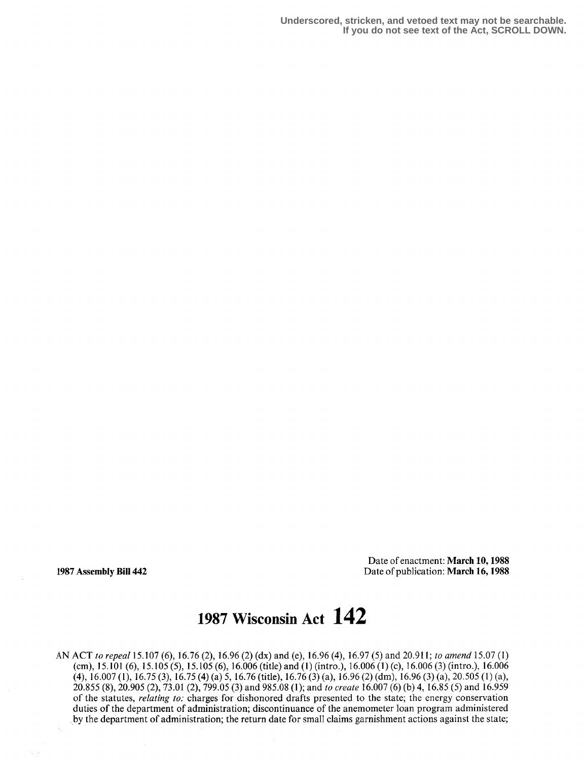**Underscored, stricken, and vetoed text may not be searchable. If you do not see text of the Act, SCROLL DOWN.**

Date of enactment: March 10, 1988 1987 Assembly Bill 442 Date of publication: March 16,1988

# 1987 Wisconsin Act 142

AN ACT to repeal 15.107 (6), 16 .76 (2), 16.96 (2) (dx) and (e), 16 .96 (4), 16 .97 (5) and 20.911 ; to amend 15 .07 (1) (cm), 15.101 (6), 15.105 (5), 15.105 (6), 16.006 (title) and (1) (intro.), 16.006 (1) (c), 16.006 (3) (intro.), 16.006 (4), 16 .007 (1), 16 .75 (3), 16.75 (4) (a) 5, 16 .76 (title), 16.76 (3) (a), 16 .96 (2) (dm), 16 .96 (3) (a), 20.505 (1) (a), 20.855 (8), 20.905 (2), 73.01 (2), 799.05 (3) and 985.08 (1); and to create 16.007 (6) (b) 4, 16.85 (5) and 16.959 of the statutes, relating to: charges for dishonored drafts presented to the state; the energy conservation duties of the department of administration; discontinuance of the anemometer loan program administered by the department of administration; the return date for small claims garnishment actions against the state;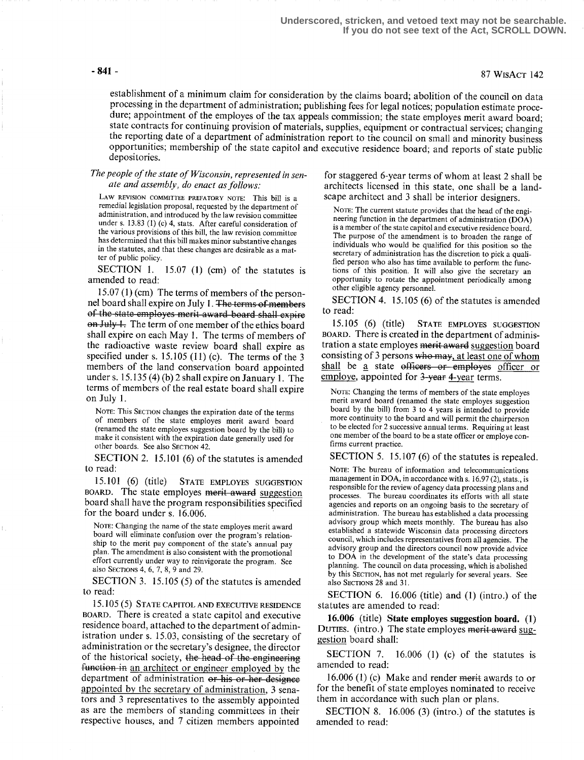# -841 - 87 WisAct 142

establishment of a minimum claim for consideration by the claims board; abolition of the council on data processing in the department of administration; publishing fees for legal notices; population estimate procedure; appointment of the employes of the tax appeals commission; the state employes merit award board; state contracts for continuing provision of materials, supplies, equipment or contractual services; changing the reporting date of a department of administration report to the council on small and minority business opportunities; membership of the state capitol and executive residence board; and reports of state public depositories.

#### The people of the state of Wisconsin, represented in senate and assembly, do enact as follows:

LAW REVISION COMMITTEE PREFATORY NOTE: This bill is a remedial legislation proposal, requested by the department of administration, and introduced by the law revision committee under s. 13.83 (1) (c) 4, stats. After careful consideration of the various provisions of this bill, the law revision committee has determined that this bill makes minor substantive changes in the statutes, and that these changes are desirable as a matter of public policy.

SECTION 1. 15.07 (1) (cm) of the statutes is amended to read:

<sup>15</sup> .07 (1) (cm) The terms of members of the personnel board shall expire on July 1. The terms of members of the state employes merit award board shall expire on July 1. The term of one member of the ethics board shall expire on each May 1. The terms of members of the radioactive waste review board shall expire a5 specified under s. 15.105 (11) (c). The terms of the 3 members of the land conservation board appointed under s.  $15.135(4)(b)$  2 shall expire on January 1. The terms of members of the real estate board shall expire on July 1.

NOTE: This SECTION changes the expiration date of the terms of members of the state employes merit award board (renamed the state employes suggestion board by the bill) to make it consistent with the expiration date generally used for other boards. See also SECTION 42.

SECTION 2. 15.101 (6) of the statutes is amended to read:

15.101 (6) (title) STATE EMPLOYES SUGGESTION BOARD. The state employes merit award suggestion board shall have the program responsibilities specified for the board under s. 16.006.

NOTE: Changing the name of the state employes merit award board will eliminate confusion over the program's relationship to the merit pay component of the state's annual pay plan. The amendment is also consistent with the promotional effort currently under way to reinvigorate the program. See also SECTIONS 4, 6, 7, 8, 9 and 29.

SECTION 3. 15.105 (5) of the statutes is amended to read:

15.105 (5) STATE CAPITOL AND EXECUTIVE RESIDENCE BOARD. There is created a state capitol and executive residence board, attached to the department of administration under s. 15.03, consisting of the secretary of administration or the secretary's designee, the director of the historical society, the head of the engineering function in an architect or engineer employed by the department of administration or his or her designee appointed by the secretary of administration, 3 senators and 3 representatives to the assembly appointed as are the members of standing committees in their respective houses, and 7 citizen members appointed

for staggered 6-year terms of whom at least 2 shall be architects licensed in this state, one shall be a landscape architect and 3 shall be interior designers.

NOTE: The current statute provides that the head of the engineering function in the department of administration (DOA) is a member of the state capitol and executive residence board. The purpose of the amendment is to broaden the range of individuals who would be qualified for this position so the secretary of administration has the discretion to pick a qualified person who also has time available to perform the functions of this position . It will also give the secretary an opportunity to rotate the appointment periodically among other eligible agency personnel.

SECTION 4. 15.105 (6) of the statutes is amended to read:

15 .105 (6) (title) STATE EMPLOYES SUGGESTION BOARD. There is created in the department of administration a state employes merit award suggestion board<br>consisting of 3 persons who may, at least one of whom<br>shall be a state officers or employes officer or shall be a state officers or employes officer or employe, appointed for 3-year 4-year terms.

NOTE: Changing the terms of members of the state employes merit award board (renamed the state employes suggestion board by the bill) from 3 to 4 years is intended to provide more continuity to the board and will permit the chairperson to be elected for 2 successive annual terms. Requiring at least one member of the board to be a state officer or employe confirms current practice .

SECTION 5. 15.107 (6) of the statutes is repealed.

NOTE: The bureau of information and telecommunications management in DOA, in accordance with s.  $16.97(2)$ , stats., is responsible for the review of agency data processing plans and processes. The bureau coordinates its efforts with all state agencies and reports on an ongoing basis to the secretary of administration. The bureau has established a data processing advisory group which meets monthly. The bureau has also established a statewide Wisconsin data processing directors council, which includes representatives from all agencies . The advisory group and the directors council now provide advice to DOA in the development of the state's data processing planning. The council on data processing, which is abolished by this SECTION, has not met regularly for several years. See also SECTIONS 28 and 31.

SECTION 6. 16.006 (title) and  $(1)$  (intro.) of the statutes are amended to read:

16.006 (title) State employes suggestion board. (1) DUTIES. (intro.) The state employes merit award suggestion board shall:

SECTION 7.  $16.006$  (1) (c) of the statutes is amended to read:

16.006 (1) (c) Make and render  $m$ erit awards to or for the benefit of state employes nominated to receive them in accordance with such plan or plans.

SECTION 8.  $16.006$  (3) (intro.) of the statutes is amended to read: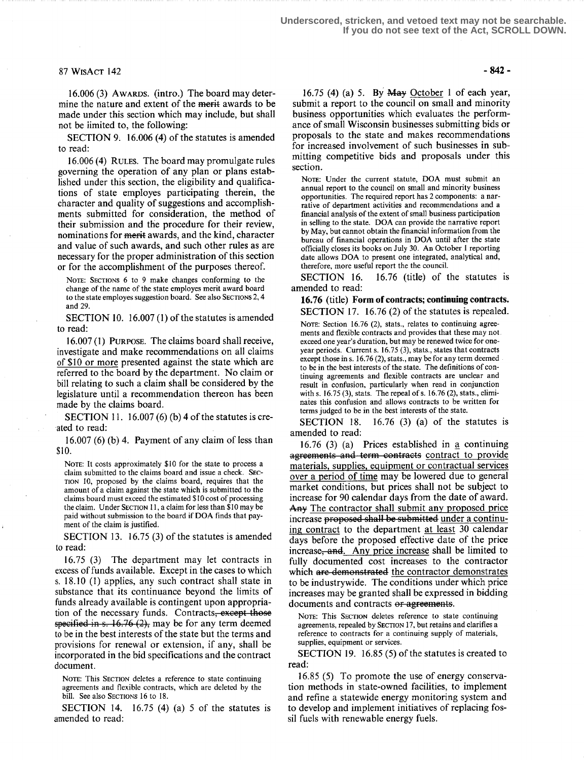### $87 WISACT 142 - 842$

16.006 (3) AWARDS. (intro.) The board may determine the nature and extent of the merit awards to be made under this section which may include, but shall not be limited to, the following:

SECTION 9. 16.006 (4) of the statutes is amended to read:

<sup>16</sup> .006 (4) RULES. The board may promulgate rules governing the operation of any plan or plans established under this section, the eligibility and qualifications of state employes participating therein, the character and quality of suggestions and accomplishments submitted for consideration, the method of their submission and the procedure for their review, nominations for merit awards, and the kind, character and value of such awards, and such other rules as are necessary for the proper administration of this section or for the accomplishment of the purposes thereof.

NOTE: SECTIONS 6 to 9 make changes conforming to the change of the name of the state employes merit award board to the state employes suggestion board. See also SECTIONS 2, 4 and 29.

SECTION 10. 16.007 (1) of the statutes is amended to read:

16.007 (1) PURPOSE. The claims board shall receive, investigate and make recommendations on all claims of \$10 or more presented against the state which are referred to the board by the department. No claim or bill relating to such a claim shall be considered by the legislature until a recommendation thereon has been made by the claims board.

SECTION 11. 16.007 (6) (b) 4 of the statutes is created to read:

16.007 (6) (b) 4. Payment of any claim of less than \$10.

NOTE: It costs approximately \$10 for the state to process a claim submitted to the claims board and issue a check. SEC-TION 10, proposed by the claims board, requires that the amount of a claim against the state which is submitted to the claims board must exceed the estimated \$10 cost of processing the claim. Under SECTION 11, a claim for less than \$10 may be paid without submission to the board if DOA finds that payment of the claim is justified.

SECTION 13. 16.75 (3) of the statutes is amended to read:

<sup>16</sup> .75 (3) The department may let contracts in excess of funds available. Except in the cases to which s. 18 .10 (1) applies, any such contract shall state in substance that its continuance beyond the limits of funds already available is contingent upon appropriation of the necessary funds . Contract specified in s.  $16.76$  (2), may be for any term deemed these is amended<br>
the days before the<br>
text contracts in<br>
text contracts in<br>
text contracts in<br>
text contracts in<br>
text contracts in<br>
text of<br>
the limits of<br>
the limits of<br>
s<sub>t</sub> except those<br>
the demonstract<br>
the terms and to be in the best interests of the state but the terms and provisions for renewal or extension, if any, shall be incorporated in the bid specifications and the contract document.

NOTE: This SECTION deletes a reference to state continuing agreements and flexible contracts, which are deleted by the bill. See also SECTIONS 16 to 18.

SECTION 14. 16.75 (4) (a) 5 of the statutes is amended to read:

16.75 (4) (a) 5. By  $\overline{May}$  October 1 of each year, submit a report to the council on small and minority business opportunities which evaluates the performance of small Wisconsin businesses submitting bids or proposals to the state and makes recommendations for increased involvement of such businesses in submitting competitive bids and proposals under this section.

NOTE: Under the current statute, DOA must submit an annual report to the council on small and minority business opportunities. The required report has 2 components: a narrative of department activities and recommendations and a financial analysis of the extent of small business participation in selling to the state. DOA can provide the narrative report by May, but cannot obtain the financial information from the bureau of financial operations in DOA until after the state officially closes its books on July 30 . An October I reporting date allows DOA to present one integrated, analytical and, therefore, more useful report the the council.

SECTION 16. 16.76 (title) of the statutes is amended to read:

16.76 (title) Form of contracts; continuing contracts. SECTION 17. 16.76 (2) of the statutes is repealed.

NOTE: Section 16.76 (2), stats., relates to continuing agreements and flexible contracts and provides that these may not . exceed one year's duration, but may be renewed twice for oneyear periods. Current s. 16.75 (3), stats., states that contracts except those in s. 16.76 (2), stats., may be for any term deemed to be in the best interests of the state . The definitions of continuing agreements and flexible contracts are unclear and result in confusion, particularly when read in conjunction with s.  $16.75(3)$ , stats. The repeal of s.  $16.76(2)$ , stats., eliminates this confusion and allows contracts to be written for terms judged to be in the best interests of the state.

SECTION 18. 16.76 (3) (a) of the statutes is amended to read:

16.76 (3) (a) Prices established in  $\underline{a}$  continuing agreements and term contracts contract to provide materials, supplies, equipment or contractual services over a period of time may be lowered due to general market conditions, but prices shall not be subject to increase for 90 calendar days from the date of award. Any The contractor shall submit any proposed price increase proposed shall be submitted under a continuing contract to the department at least 30 calendar days before the proposed effective date of the price increase, and. Any price increase shall be limited to fully documented cost increases to the contractor which are demonstrated the contractor demonstrates to be industrywide. The conditions under which price increases may be granted shall be expressed in bidding documents and contracts or agreements.

NOTE: This SECTION deletes reference to state continuing agreements, repealed by SECTION 17, but retains and clarifies a reference to contracts for a continuing supply of materials, supplies, equipment or services.

SECTION 19. 16.85 (5) of the statutes is created to read:

16.85 (5) To promote the use of energy conservation methods in state-owned facilities, to implement and refine a statewide energy monitoring system and to develop and implement initiatives of replacing fossil fuels with renewable energy fuels.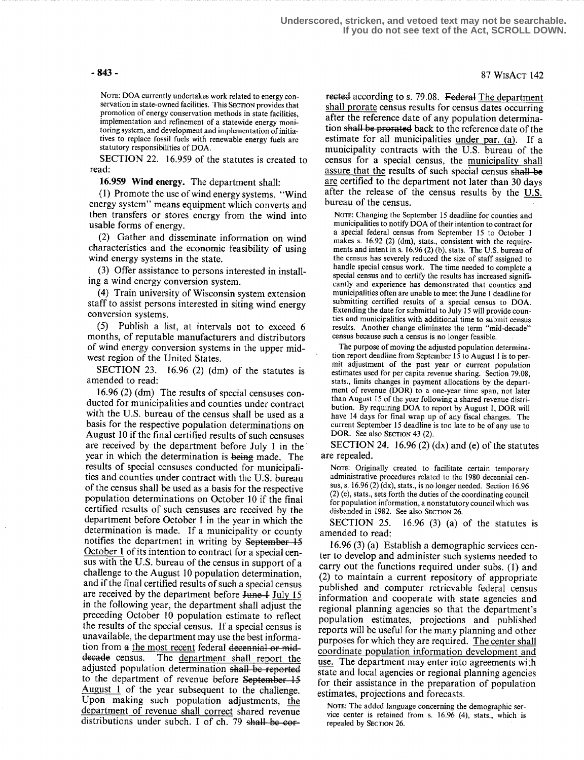### - 843 - 87 WisAct 142

NOTE: DOA currently undertakes work related to energy conservation in state-owned facilities. This SECTION provides that promotion of energy conservation methods in state facilities, implementation and refinement of a statewide energy monitoring system, and development and implementation of initiatives to replace fossil fuels with renewable energy fuels are statutory responsibilities of DOA.

SECTION 22. 16.959 of the statutes is created to read:

16.959 Wind energy. The department shall:

(1) Promote the use of wind energy systems. "Wind energy system" means equipment which converts and then transfers or stores energy from the wind into usable forms of energy.

(2) Gather and disseminate information on wind characteristics and the economic feasibility of using wind energy systems in the state.

(3) Offer assistance to persons interested in installing a wind energy conversion system .

(4) Train university of Wisconsin system extension staff to assist persons interested in siting wind energy conversion systems.

(5) Publish a list, at intervals not to exceed 6 months, of reputable manufacturers and distributors of wind energy conversion systems in the upper midwest region of the United States.

SECTION 23. 16.96 (2) (dm) of the statutes is amended to read:

<sup>16</sup> .96 (2) (dm) The results of special censuses conducted for municipalities and counties under contract with the U.S. bureau of the census shall be used as a basis for the respective population determinations on August 10 if the final certified results of such censuses are received by the department before July 1 in the year in which the determination is being made. The results of special censuses conducted for municipalities and counties under contract with the U.S. bureau of the census shall be used as a basis for the respective population determinations on October 10 if the final certified results of such censuses are received by the department before October 1 in the year in which the determination is made. If a municipality or county notifies the department in writing by September  $15$ October 1 of its intention to contract for a special census with the U.S . bureau of the census in support of a challenge to the August 10 population determination, and if the final certified results of such a special census are received by the department before June 1 July 15 in the following year, the department shall adjust the preceding October 10 population estimate to reflect the results of the special census . If a special census is unavailable, the department may use the best information from a the most recent federal decennial or mid-<br>decade census. The department shall report the The department shall report the adjusted population determination shall be reported to the department of revenue before September 15 August  $1$  of the year subsequent to the challenge. Upon making such population adjustments, the department of revenue shall correct shared revenue distributions under subch. I of ch. 79 shall be cor-

rected according to s. 79.08. Federal The department shall prorate census results for census dates occurring after the reference date of any population determination shall be prorated back to the reference date of the estimate for all municipalities under par. (a). If a municipality contracts with the U.S . bureau of the census for a special census, the municipality shall assure that the results of such special census shall be are certified to the department not later than 30 days after the release of the census results by the U.S. bureau of the census.

NOTE: Changing the September IS deadline for counties and municipalities to notify DOA of their intention to contract for a special federal census from September 15 to October 1 makes s.  $16.92$  (2) (dm), stats., consistent with the requirements and intent in s.  $16.96(2)(b)$ , stats. The U.S. bureau of the census has severely reduced the size of staff assigned to handle special census work. The time needed to complete a special census and to certify the results has increased significantly and experience has demonstrated that counties and municipalities often are unable to meet the June 1 deadline for submitting certified results of a special census to DOA. Extending the date for submittal to July 15 will provide counties and municipalities with additional time to submit census results. Another change eliminates the term "mid-decade" census because such a census is no longer feasible.

The purpose of moving the adjusted population determination report deadline from September 15 to August 1 is to permit adjustment of the past year or current population estimates used for per capita revenue sharing. Section 79.08, stats., limits changes in payment allocations by the department of revenue (DOR) to a one-year time span, not later than August 15 of the year following a shared revenue distribution. By requiring DOA to report by August 1, DOR will have 14 days for final wrap up of any fiscal changes. The current September 15 deadline is too late to be of any use to DOR. See also SECTION 43 (2).

SECTION 24. 16.96 (2)  $(dx)$  and (e) of the statutes are repealed.

NOTE: Originally created to facilitate certain temporary administrative procedures related to the 1980 decennial census, s.  $16.96$  (2) (dx), stats., is no longer needed. Section  $16.96$ (2) (e), slats., sets forth the duties of the coordinating council for population information, a nonstatutory council which was disbanded in 1982. See also SECTION 26.

SECTION 25.  $16.96$  (3) (a) of the statutes is amended to read:

16.96 (3) (a) Establish a demographic services center to develop and administer such systems needed to carry out the functions required under subs. (1) and (2) to maintain a current repository of appropriate published and computer retrievable federal census information and cooperate with state agencies and regional planning agencies so that the department's population estimates, projections and published reports will be useful for the many planning and other purposes for which they are required. The center shall coordinate population information development and use. The department may enter into agreements with state and local agencies or regional planning agencies for their assistance in the preparation of population estimates, projections and forecasts .

NOTE: The added language concerning the demographic service center is retained from s.  $16.96$  (4), stats., which is repealed by SECTION 26.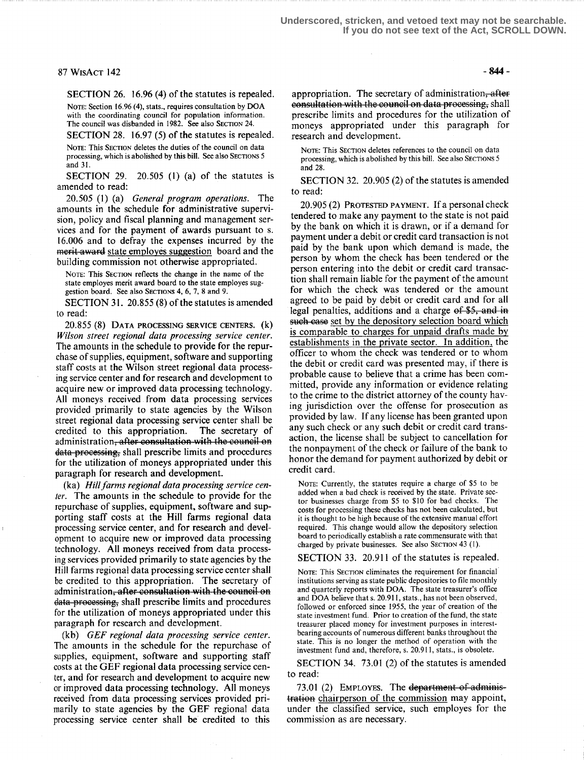### $87$  WisAct 142 -844 -

SECTION 26. 16.96 (4) of the statutes is repealed.

NOTE: Section 16.96 (4), stats., requires consultation by DOA with the coordinating council for population information. The council was disbanded in 1982. See also SECTION 24. SECTION 28. 16.97 (5) of the statutes is repealed.

NOTE: This SECTION deletes the duties of the council on data processing, which is abolished by this bill. See also SECTIONS 5 and 31 .

SECTION 29. 20.505 (1) (a) of the statutes is amended to read:

20.505 (1) (a) General program operations. The amounts in the schedule for administrative supervision, policy and fiscal planning and management services and for the payment of awards pursuant to s. 16 .006 and to defray the expenses incurred by the merit award state employes suggestion board and the building commission not otherwise appropriated.

NOTE: This SECTION reflects the change in the name of the state employes merit award board to the state employes suggestion board. See also SecTioxs 4, 6, 7, 8 and 9.

SECTION 31. 20.855 (8) of the statutes is amended to read:

20.855 (g) DATA PROCESSING SERVICE CENTERS. Wilson street regional data processing service center. The amounts in the schedule to provide for the repurchase of supplies, equipment, software and supporting staff costs at the Wilson street regional data processing service center and for research and development to acquire new or improved data processing technology. All moneys received from data processing services provided primarily to state agencies by the Wilson street regional data processing service center shall be credited to this appropriation. The secretary of credited to this appropriation. administration, after consultation with the council on data-processing, shall prescribe limits and procedures for the utilization of moneys appropriated under this paragraph for research and development.

(ka) Hill farms regional data processing service center. The amounts in the schedule to provide for the repurchase of supplies, equipment, software and supporting staff costs at the Hill farms regional data processing service center, and for research and development to acquire new or improved data processing technology. All moneys received from data processing services provided primarily to state agencies by the Hill farms regional data processing service center shall be credited to this appropriation. The secretary of administration<del>, after consultation with the council on</del> data processing, shall prescribe limits and procedures for the utilization of moneys appropriated under this paragraph for research and development.

(kb) GEF regional data processing service center. The amounts in the schedule for the repurchase of supplies, equipment, software and supporting staff costs at the GEF regional data processing service center, and for research and development to acquire new or improved data processing technology. All moneys received from data processing services provided primarily to state agencies by the GEF regional data processing service center shall be' credited to this

appropriation. The secretary of administration, after eonsultation with the council on data processing, shall prescribe limits and procedures for the utilization of moneys appropriated under this paragraph for research and development.

NOTE: This SECTION deletes references to the council on data processing, which is abolished by this bill. See also SECTIONS 5 and 28.

SECTION 32. 20.905 (2) of the statutes is amended to read:

20.905 (2) PROTESTED PAYMENT. If a personal check tendered to make any payment to the state is not paid by the bank on which it is drawn, or if a demand for payment under a debit or credit card transaction is not paid by the bank upon which demand is made, the person by whom the check has been tendered or the person entering into the debit or credit card transaction shall remain liable for the payment of the amount for which the check was tendered or the amount agreed to be paid by debit or credit card and for all legal penalties, additions and a charge  $\theta$   $\frac{1}{5}$ , and  $\frac{1}{2}$ such case set by the depository selection board which is comparable to charges for unpaid drafts made by establishments in the private sector. In addition, the officer to whom the check was tendered or to whom the debit or credit card was presented may, if there is probable cause to believe that a crime has been committed, provide any information or evidence relating to the crime to the district attorney of the county having jurisdiction over the offense for prosecution as provided by law. If any license has been granted upon any such check or any such debit or credit card transaction, the license shall be subject to cancellation for the nonpayment of the check or failure of the bank to honor the demand for payment authorized by debit or credit card.

NOTE: Currently, the statutes require a charge of \$5 to be added when a bad check is received by the state. Private sector businesses charge from \$5 to \$10 for bad checks . The costs for processing these checks has not been calculated, but it is thought to be high because of the extensive manual effort required. This change would allow the depository selection board to periodically establish a rate commensurate with that charged by private businesses. See also SECTION 43 (1).

SECTION 33. 20.911 of the statutes is repealed.

NOTE: This SECTION eliminates the requirement for financial institutions serving as state public depositories to file monthly and quarterly reports with DOA. The state treasurer's office and DOA believe that s. 20.911, stats ., has not been observed, followed or enforced since 1955, the year of creation of the state investment fund. Prior to creation of the fund, the state treasurer placed money for investment purposes in interestbearing accounts of numerous different banks throughout the state. This is no longer the method of operation with the investment fund and, therefore, s. 20.911, stats., is obsolete.

SECTION 34. 73 .01 (2) of the statutes is amended to read:

73.01 (2) EMPLOYES. The department of administration chairperson of the commission may appoint, under the classified service, such employes for the commission as are necessary.